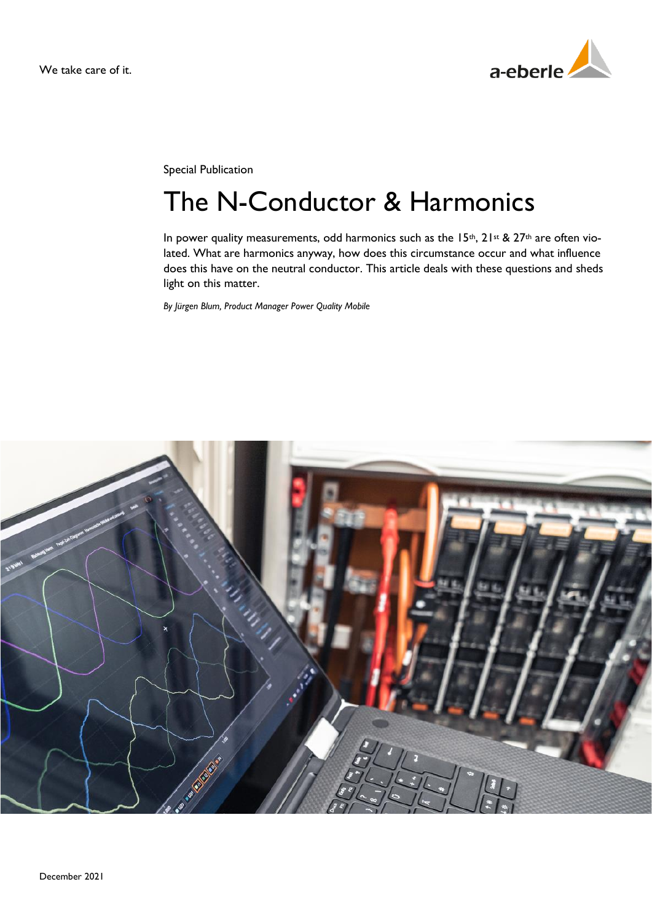

Special Publication

# The N-Conductor & Harmonics

In power quality measurements, odd harmonics such as the 15<sup>th</sup>,  $21$ <sup>st</sup> &  $27$ <sup>th</sup> are often violated. What are harmonics anyway, how does this circumstance occur and what influence does this have on the neutral conductor. This article deals with these questions and sheds light on this matter.

*By Jürgen Blum, Product Manager Power Quality Mobile*

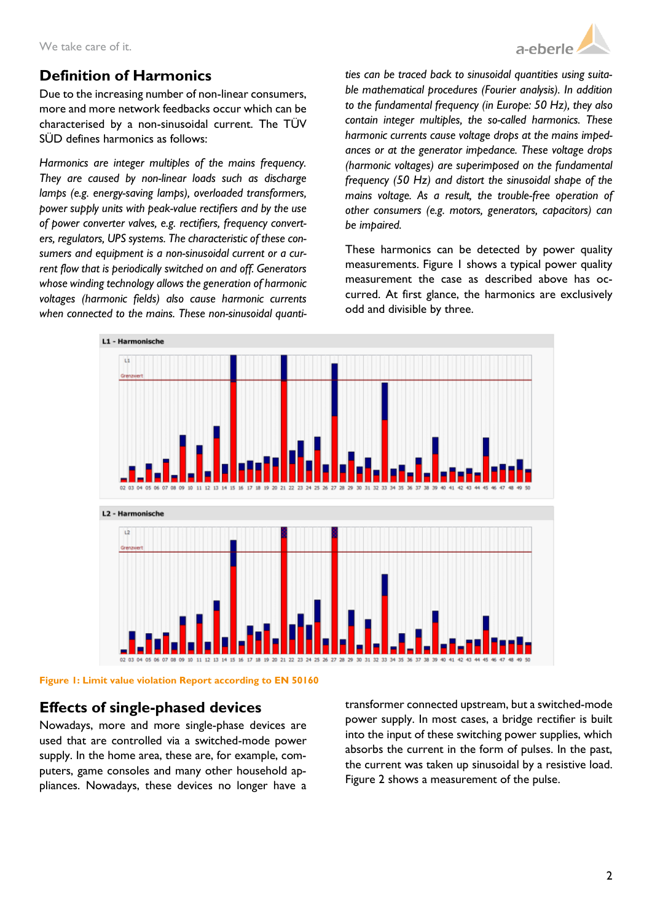

## **Definition of Harmonics**

Due to the increasing number of non-linear consumers, more and more network feedbacks occur which can be characterised by a non-sinusoidal current. The TÜV SÜD defines harmonics as follows:

*Harmonics are integer multiples of the mains frequency. They are caused by non-linear loads such as discharge lamps (e.g. energy-saving lamps), overloaded transformers, power supply units with peak-value rectifiers and by the use of power converter valves, e.g. rectifiers, frequency converters, regulators, UPS systems. The characteristic of these consumers and equipment is a non-sinusoidal current or a current flow that is periodically switched on and off. Generators whose winding technology allows the generation of harmonic voltages (harmonic fields) also cause harmonic currents when connected to the mains. These non-sinusoidal quanti-* *ties can be traced back to sinusoidal quantities using suitable mathematical procedures (Fourier analysis). In addition to the fundamental frequency (in Europe: 50 Hz), they also contain integer multiples, the so-called harmonics. These harmonic currents cause voltage drops at the mains impedances or at the generator impedance. These voltage drops (harmonic voltages) are superimposed on the fundamental frequency (50 Hz) and distort the sinusoidal shape of the mains voltage. As a result, the trouble-free operation of other consumers (e.g. motors, generators, capacitors) can be impaired.*

These harmonics can be detected by power quality measurements. Figure 1 shows a typical power quality measurement the case as described above has occurred. At first glance, the harmonics are exclusively odd and divisible by three.



**Figure 1: Limit value violation Report according to EN 50160**

### **Effects of single-phased devices**

Nowadays, more and more single-phase devices are used that are controlled via a switched-mode power supply. In the home area, these are, for example, computers, game consoles and many other household appliances. Nowadays, these devices no longer have a transformer connected upstream, but a switched-mode power supply. In most cases, a bridge rectifier is built into the input of these switching power supplies, which absorbs the current in the form of pulses. In the past, the current was taken up sinusoidal by a resistive load. Figure 2 shows a measurement of the pulse.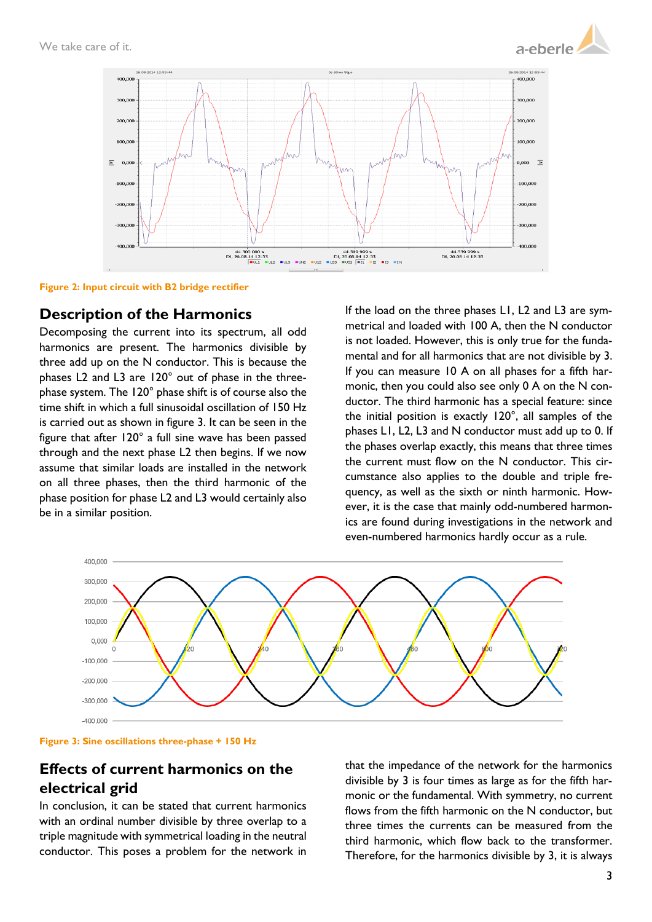



**Figure 2: Input circuit with B2 bridge rectifier**

#### **Description of the Harmonics**

Decomposing the current into its spectrum, all odd harmonics are present. The harmonics divisible by three add up on the N conductor. This is because the phases L2 and L3 are 120° out of phase in the threephase system. The 120° phase shift is of course also the time shift in which a full sinusoidal oscillation of 150 Hz is carried out as shown in figure 3. It can be seen in the figure that after 120° a full sine wave has been passed through and the next phase L2 then begins. If we now assume that similar loads are installed in the network on all three phases, then the third harmonic of the phase position for phase L2 and L3 would certainly also be in a similar position.

If the load on the three phases L1, L2 and L3 are symmetrical and loaded with 100 A, then the N conductor is not loaded. However, this is only true for the fundamental and for all harmonics that are not divisible by 3. If you can measure 10 A on all phases for a fifth harmonic, then you could also see only 0 A on the N conductor. The third harmonic has a special feature: since the initial position is exactly 120°, all samples of the phases L1, L2, L3 and N conductor must add up to 0. If the phases overlap exactly, this means that three times the current must flow on the N conductor. This circumstance also applies to the double and triple frequency, as well as the sixth or ninth harmonic. However, it is the case that mainly odd-numbered harmonics are found during investigations in the network and even-numbered harmonics hardly occur as a rule.



**Figure 3: Sine oscillations three-phase + 150 Hz**

# **Effects of current harmonics on the electrical grid**

In conclusion, it can be stated that current harmonics with an ordinal number divisible by three overlap to a triple magnitude with symmetrical loading in the neutral conductor. This poses a problem for the network in

that the impedance of the network for the harmonics divisible by 3 is four times as large as for the fifth harmonic or the fundamental. With symmetry, no current flows from the fifth harmonic on the N conductor, but three times the currents can be measured from the third harmonic, which flow back to the transformer. Therefore, for the harmonics divisible by 3, it is always